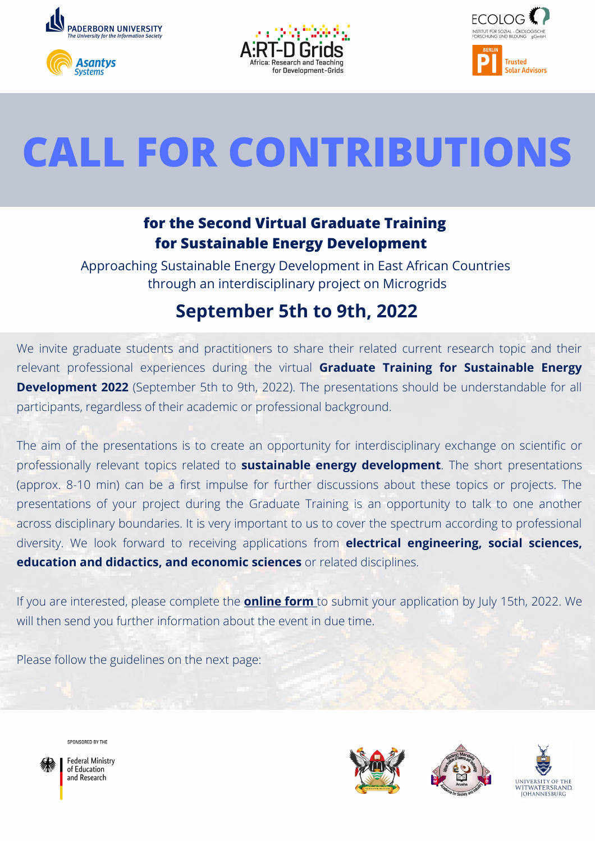







## **CALL FOR CONTRIBUTIONS**

## **for the Second Virtual Graduate Training for Sustainable Energy Development**

Approaching Sustainable Energy Development in East African Countries through an interdisciplinary project on Microgrids

## **September 5th to 9th, 2022**

We invite graduate students and practitioners to share their related current research topic and their relevant professional experiences during the virtual **Graduate Training for Sustainable Energy Development 2022** (September 5th to 9th, 2022). The presentations should be understandable for all participants, regardless of their academic or professional background.

The aim of the presentations is to create an opportunity for interdisciplinary exchange on scientific or professionally relevant topics related to **sustainable energy development**. The short presentations (approx. 8-10 min) can be a first impulse for further discussions about these topics or projects. The presentations of your project during the Graduate Training is an opportunity to talk to one another across disciplinary boundaries. It is very important to us to cover the spectrum according to professional diversity. We look forward to receiving applications from **electrical engineering, social sciences, education and didactics, and economic sciences** or related disciplines.

If you are interested, please complete the **[online](https://umfragen.uni-paderborn.de/index.php/421414?lang=en) form** to submit your application by July 15th, 2022. We will then send you further information about the event in due time.

Please follow the guidelines on the next page:



**Federal Ministry** of Education and Research

SPONSORED BY THE